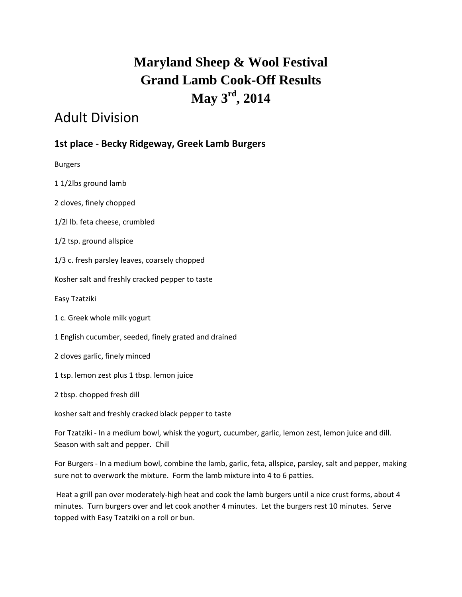# **Maryland Sheep & Wool Festival Grand Lamb Cook-Off Results May 3rd , 2014**

# Adult Division

## **1st place - Becky Ridgeway, Greek Lamb Burgers**

Burgers

1 1/2lbs ground lamb

2 cloves, finely chopped

1/2l lb. feta cheese, crumbled

1/2 tsp. ground allspice

1/3 c. fresh parsley leaves, coarsely chopped

Kosher salt and freshly cracked pepper to taste

Easy Tzatziki

- 1 c. Greek whole milk yogurt
- 1 English cucumber, seeded, finely grated and drained
- 2 cloves garlic, finely minced
- 1 tsp. lemon zest plus 1 tbsp. lemon juice

2 tbsp. chopped fresh dill

kosher salt and freshly cracked black pepper to taste

For Tzatziki - In a medium bowl, whisk the yogurt, cucumber, garlic, lemon zest, lemon juice and dill. Season with salt and pepper. Chill

For Burgers - In a medium bowl, combine the lamb, garlic, feta, allspice, parsley, salt and pepper, making sure not to overwork the mixture. Form the lamb mixture into 4 to 6 patties.

Heat a grill pan over moderately-high heat and cook the lamb burgers until a nice crust forms, about 4 minutes. Turn burgers over and let cook another 4 minutes. Let the burgers rest 10 minutes. Serve topped with Easy Tzatziki on a roll or bun.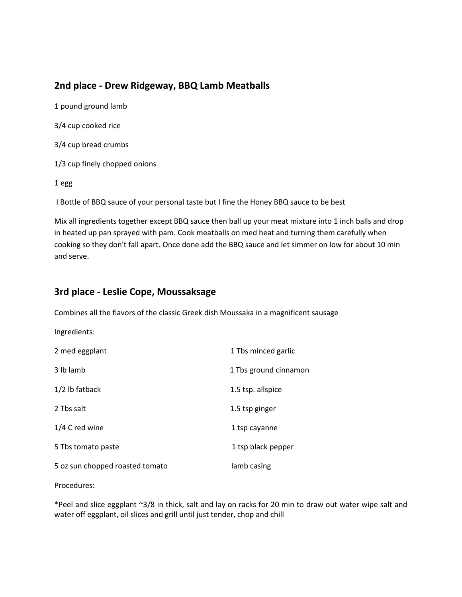### **2nd place - Drew Ridgeway, BBQ Lamb Meatballs**

1 pound ground lamb 3/4 cup cooked rice 3/4 cup bread crumbs 1/3 cup finely chopped onions 1 egg

I Bottle of BBQ sauce of your personal taste but I fine the Honey BBQ sauce to be best

Mix all ingredients together except BBQ sauce then ball up your meat mixture into 1 inch balls and drop in heated up pan sprayed with pam. Cook meatballs on med heat and turning them carefully when cooking so they don't fall apart. Once done add the BBQ sauce and let simmer on low for about 10 min and serve.

### **3rd place - Leslie Cope, Moussaksage**

Combines all the flavors of the classic Greek dish Moussaka in a magnificent sausage

| Ingredients:                    |                       |
|---------------------------------|-----------------------|
| 2 med eggplant                  | 1 Tbs minced garlic   |
| 3 lb lamb                       | 1 Tbs ground cinnamon |
| 1/2 lb fatback                  | 1.5 tsp. allspice     |
| 2 Tbs salt                      | 1.5 tsp ginger        |
| 1/4 C red wine                  | 1 tsp cayanne         |
| 5 Tbs tomato paste              | 1 tsp black pepper    |
| 5 oz sun chopped roasted tomato | lamb casing           |

Procedures:

\*Peel and slice eggplant ~3/8 in thick, salt and lay on racks for 20 min to draw out water wipe salt and water off eggplant, oil slices and grill until just tender, chop and chill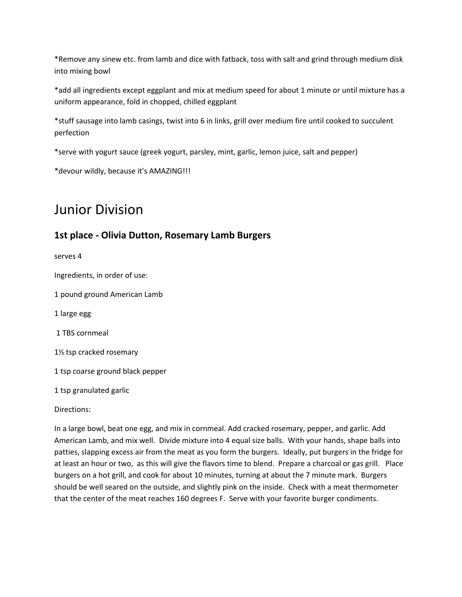\*Remove any sinew etc. from lamb and dice with fatback, toss with salt and grind through medium disk into mixing bowl

\*add all ingredients except eggplant and mix at medium speed for about 1 minute or until mixture has a uniform appearance, fold in chopped, chilled eggplant

\*stuff sausage into lamb casings, twist into 6 in links, grill over medium fire until cooked to succulent perfection

\*serve with yogurt sauce (greek yogurt, parsley, mint, garlic, lemon juice, salt and pepper)

\*devour wildly, because it's AMAZING!!!

# Junior Division

#### **1st place - Olivia Dutton, Rosemary Lamb Burgers**

serves 4

Ingredients, in order of use:

1 pound ground American Lamb

1 large egg

1 TBS cornmeal

1½ tsp cracked rosemary

1 tsp coarse ground black pepper

1 tsp granulated garlic

Directions:

In a large bowl, beat one egg, and mix in cornmeal. Add cracked rosemary, pepper, and garlic. Add American Lamb, and mix well. Divide mixture into 4 equal size balls. With your hands, shape balls into patties, slapping excess air from the meat as you form the burgers. Ideally, put burgers in the fridge for at least an hour or two, as this will give the flavors time to blend. Prepare a charcoal or gas grill. Place burgers on a hot grill, and cook for about 10 minutes, turning at about the 7 minute mark. Burgers should be well seared on the outside, and slightly pink on the inside. Check with a meat thermometer that the center of the meat reaches 160 degrees F. Serve with your favorite burger condiments.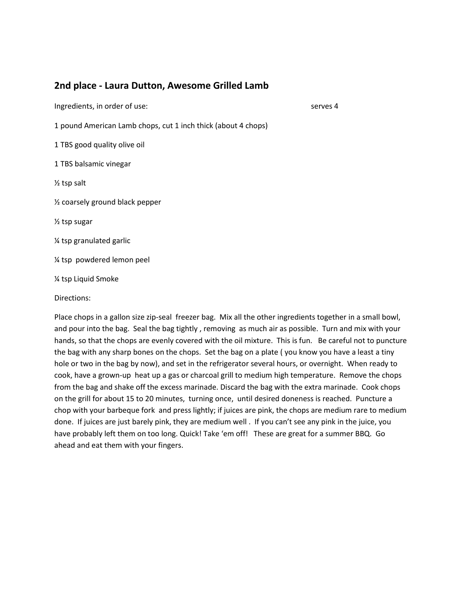#### **2nd place - Laura Dutton, Awesome Grilled Lamb**

Ingredients, in order of use: serves 4

1 pound American Lamb chops, cut 1 inch thick (about 4 chops)

1 TBS good quality olive oil

1 TBS balsamic vinegar

½ tsp salt

½ coarsely ground black pepper

½ tsp sugar

¼ tsp granulated garlic

¼ tsp powdered lemon peel

¼ tsp Liquid Smoke

Directions:

Place chops in a gallon size zip-seal freezer bag. Mix all the other ingredients together in a small bowl, and pour into the bag. Seal the bag tightly , removing as much air as possible. Turn and mix with your hands, so that the chops are evenly covered with the oil mixture. This is fun. Be careful not to puncture the bag with any sharp bones on the chops. Set the bag on a plate ( you know you have a least a tiny hole or two in the bag by now), and set in the refrigerator several hours, or overnight. When ready to cook, have a grown-up heat up a gas or charcoal grill to medium high temperature. Remove the chops from the bag and shake off the excess marinade. Discard the bag with the extra marinade. Cook chops on the grill for about 15 to 20 minutes, turning once, until desired doneness is reached. Puncture a chop with your barbeque fork and press lightly; if juices are pink, the chops are medium rare to medium done. If juices are just barely pink, they are medium well . If you can't see any pink in the juice, you have probably left them on too long. Quick! Take 'em off! These are great for a summer BBQ. Go ahead and eat them with your fingers.